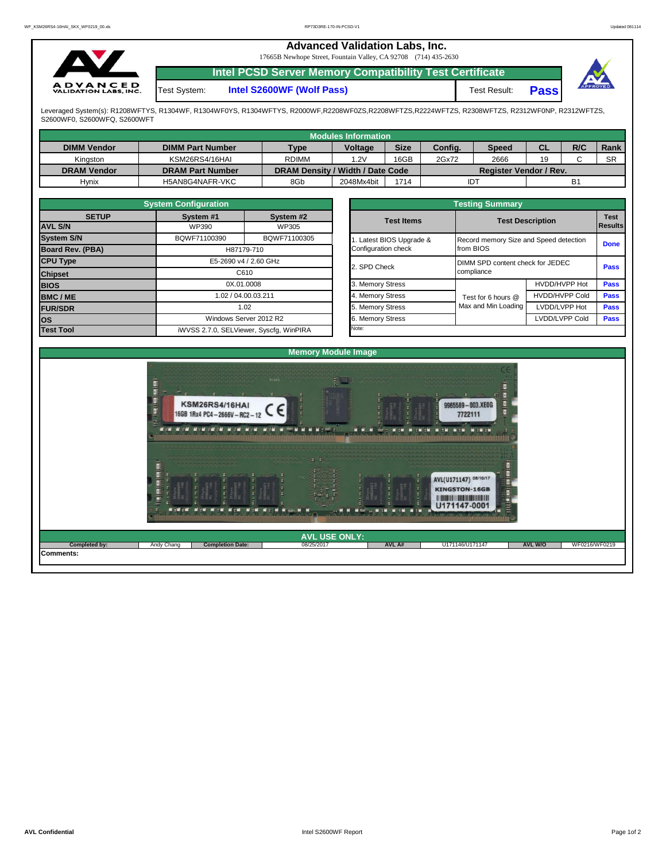|                                                 |              | <b>Advanced Validation Labs, Inc.</b><br>17665B Newhope Street, Fountain Valley, CA 92708 (714) 435-2630 |              |             |          |
|-------------------------------------------------|--------------|----------------------------------------------------------------------------------------------------------|--------------|-------------|----------|
|                                                 |              | Intel PCSD Server Memory Compatibility Test Certificate                                                  |              |             |          |
| <b>ADVANCED</b><br><b>VALIDATION LABS, INC.</b> | Test System: | Intel S2600WF (Wolf Pass)                                                                                | Test Result: | <b>Pass</b> | APPROVED |

Leveraged System(s): R1208WFTYS, R1304WF, R1304WF0YS, R1304WFTYS, R2000WF,R2208WF0ZS,R2208WFTZS,R2224WFTZS, R2308WFTZS, R2312WF0NP, R2312WFTZS,<br>S2600WF0, S2600WFQ, S2600WFT

|                    |                         |                                  | <b>Modules Information</b> |             |         |                               |    |     |           |
|--------------------|-------------------------|----------------------------------|----------------------------|-------------|---------|-------------------------------|----|-----|-----------|
| <b>DIMM Vendor</b> | <b>DIMM Part Number</b> | <b>Type</b>                      | <b>Voltage</b>             | <b>Size</b> | Config. | <b>Speed</b>                  | СL | R/C | Rank      |
| Kingston           | KSM26RS4/16HAI          | <b>RDIMM</b>                     | 1.2V                       | 16GB        | 2Gx72   | 2666                          | 19 |     | <b>SR</b> |
| <b>DRAM Vendor</b> | <b>DRAM Part Number</b> | DRAM Density / Width / Date Code |                            |             |         | <b>Register Vendor / Rev.</b> |    |     |           |
| Hynix              | H5AN8G4NAFR-VKC         | 8Gb                              | 2048Mx4bit                 | 1714        | IDT     |                               |    | B1  |           |

|                   | <b>System Configuration</b>             |                        |  | <b>Testing Summary</b> |                                  |                                        |             |  |  |  |  |
|-------------------|-----------------------------------------|------------------------|--|------------------------|----------------------------------|----------------------------------------|-------------|--|--|--|--|
| <b>SETUP</b>      | System #1                               | System #2              |  | <b>Test Items</b>      | <b>Test Description</b>          | <b>Test</b><br>Results                 |             |  |  |  |  |
| <b>AVL S/N</b>    | WP390                                   | WP305                  |  |                        |                                  |                                        |             |  |  |  |  |
| <b>System S/N</b> | BQWF71100390                            | BQWF71100305           |  | Latest BIOS Upgrade &  |                                  | Record memory Size and Speed detection |             |  |  |  |  |
| Board Rev. (PBA)  |                                         | H87179-710             |  | Configuration check    | from BIOS                        | <b>Done</b>                            |             |  |  |  |  |
| <b>CPU Type</b>   | E5-2690 v4 / 2.60 GHz                   |                        |  |                        | DIMM SPD content check for JEDEC |                                        |             |  |  |  |  |
| <b>Chipset</b>    | C610                                    |                        |  | 2. SPD Check           | compliance                       |                                        | <b>Pass</b> |  |  |  |  |
| <b>BIOS</b>       | 0X.01.0008                              |                        |  | 3. Memory Stress       |                                  | HVDD/HVPP Hot                          | <b>Pass</b> |  |  |  |  |
| <b>BMC/ME</b>     |                                         | 1.02 / 04.00.03.211    |  | 4. Memory Stress       | Test for 6 hours @               | <b>HVDD/HVPP Cold</b>                  | <b>Pass</b> |  |  |  |  |
| <b>FUR/SDR</b>    |                                         | 1.02                   |  | 5. Memory Stress       | Max and Min Loading              | LVDD/LVPP Hot                          | <b>Pass</b> |  |  |  |  |
| <b>los</b>        |                                         | Windows Server 2012 R2 |  | 6. Memory Stress       |                                  | LVDD/LVPP Cold                         | <b>Pass</b> |  |  |  |  |
| <b>Test Tool</b>  | iWVSS 2.7.0, SELViewer, Syscfg, WinPIRA |                        |  | Note:                  |                                  |                                        |             |  |  |  |  |